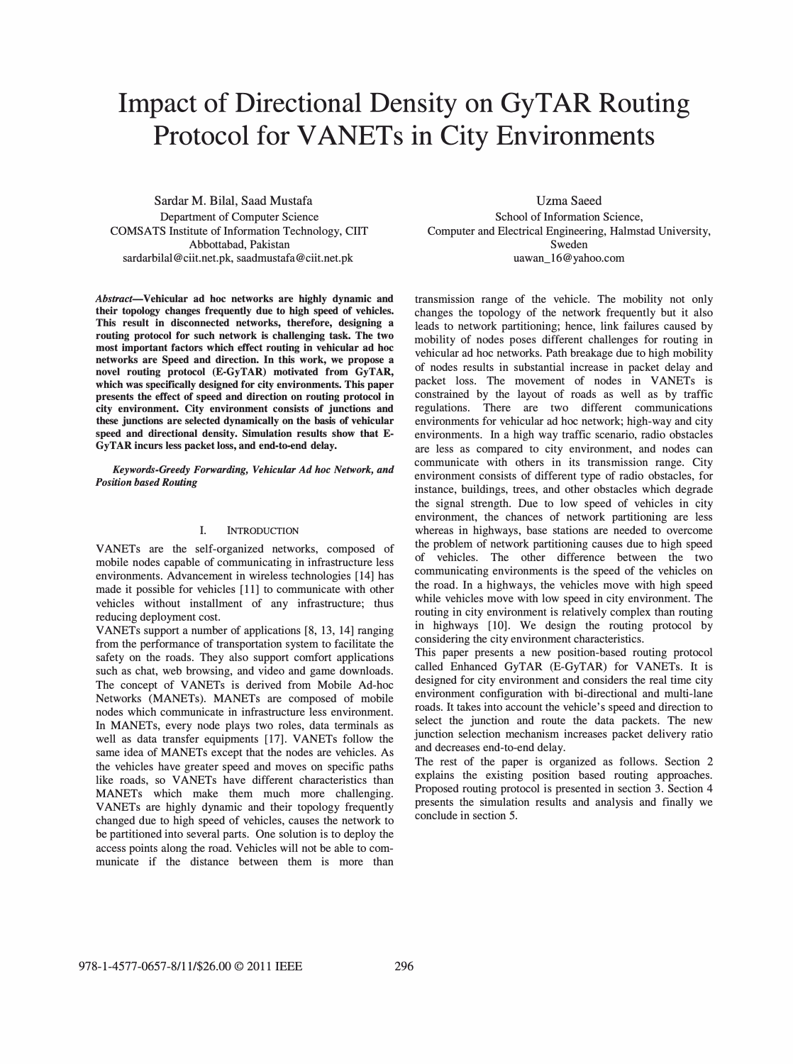# Impact of Directional Density on GyTAR Routing Protocol for VANETs in City Environments

Sardar M. Bilal, Saad Mustafa Department of Computer Science COMSATS Institute of Information Technology, CIIT Abbottabad, Pakistan sardarbilal@ciit.net.pk, saadmustafa@ciit.net.pk

Abstract-Vehicular ad hoc networks are highly dynamic and their topology changes frequently due to high speed of vehicles. This result in disconnected networks, therefore, designing a routing protocol for such network is challenging task. The two most important factors which effect routing in vehicular ad hoc networks are Speed and direction. In this work, we propose a novel routing protocol (E-GyTAR) motivated from GyTAR, which was specifically designed for city environments. This paper presents the effect of speed and direction on routing protocol in city environment. City environment consists of junctions and these junctions are selected dynamically on the basis of vehicular speed and directional density. Simulation results show that E-GyTAR incurs less packet loss, and end-to-end delay.

Keywords-Greedy Forwarding, Vehicular Ad hoc Network, and Position based Routing

#### I. INTRODUCTION

VANETs are the self-organized networks, composed of mobile nodes capable of communicating in infrastructure less environments. Advancement in wireless technologies [14] has made it possible for vehicles [11] to communicate with other vehicles without installment of any infrastructure; thus reducing deployment cost.

V ANETs support a number of applications [8, 13, 14] ranging from the performance of transportation system to facilitate the safety on the roads. They also support comfort applications such as chat, web browsing, and video and game downloads. The concept of VANETs is derived from Mobile Ad-hoc Networks (MANETs). MANETs are composed of mobile nodes which communicate in infrastructure less environment. In MANETs, every node plays two roles, data terminals as well as data transfer equipments [17]. VANETs follow the same idea of MANETs except that the nodes are vehicles. As the vehicles have greater speed and moves on specific paths like roads, so VANETs have different characteristics than MANETs which make them much more challenging. VANETs are highly dynamic and their topology frequently changed due to high speed of vehicles, causes the network to be partitioned into several parts. One solution is to deploy the access points along the road. Vehicles will not be able to communicate if the distance between them is more than

UzmaSaeed School of Information Science, Computer and Electrical Engineering, Halmstad University, Sweden uawan\_16@yahoo.com

transmission range of the vehicle. The mobility not only changes the topology of the network frequently but it also leads to network partitioning; hence, link failures caused by mobility of nodes poses different challenges for routing in vehicular ad hoc networks. Path breakage due to high mobility of nodes results in substantial increase in packet delay and packet loss. The movement of nodes in VANETs is constrained by the layout of roads as well as by traffic regulations. There are two different communications environments for vehicular ad hoc network; high-way and city environments. In a high way traffic scenario, radio obstacles are less as compared to city environment, and nodes can communicate with others in its transmission range. City environment consists of different type of radio obstacles, for instance, buildings, trees, and other obstacles which degrade the signal strength. Due to low speed of vehicles in city environment, the chances of network partitioning are less whereas in highways, base stations are needed to overcome the problem of network partitioning causes due to high speed of vehicles. The other difference between the two communicating environments is the speed of the vehicles on the road. In a highways, the vehicles move with high speed while vehicles move with low speed in city environment. The routing in city environment is relatively complex than routing in highways [10]. We design the routing protocol by considering the city environment characteristics.

This paper presents a new position-based routing protocol called Enhanced GyTAR (E-GyTAR) for VANETs. It is designed for city environment and considers the real time city environment configuration with bi-directional and multi-lane roads. It takes into account the vehicle's speed and direction to select the junction and route the data packets. The new junction selection mechanism increases packet delivery ratio and decreases end-to-end delay.

The rest of the paper is organized as follows. Section 2 explains the existing position based routing approaches. Proposed routing protocol is presented in section 3. Section 4 presents the simulation results and analysis and fmally we conclude in section 5.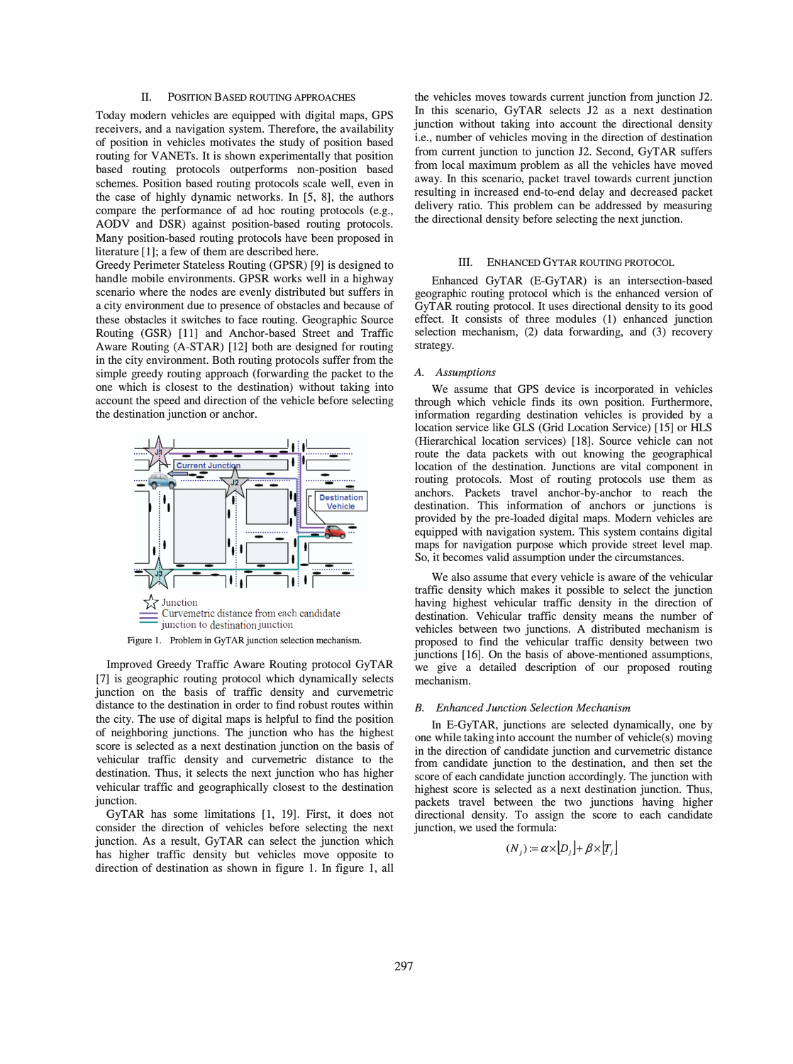# II. POSITION BASED ROUTING APPROACHES

Today modern vehicles are equipped with digital maps, GPS receivers, and a navigation system. Therefore, the availability of position in vehicles motivates the study of position based routing for VANETs. It is shown experimentally that position based routing protocols outperforms non-position based schemes. Position based routing protocols scale well, even in the case of highly dynamic networks. In [5, 8], the authors compare the performance of ad hoc routing protocols (e.g., AODV and DSR) against position-based routing protocols. Many position-based routing protocols have been proposed in literature [1]; a few of them are described here.

Greedy Perimeter Stateless Routing (GPSR) [9] is designed to handle mobile environments. GPSR works well in a highway scenario where the nodes are evenly distributed but suffers in a city environment due to presence of obstacles and because of these obstacles it switches to face routing. Geographic Source Routing (GSR) [11] and Anchor-based Street and Traffic Aware Routing (A-STAR) [12] both are designed for routing in the city environment. Both routing protocols suffer from the simple greedy routing approach (forwarding the packet to the one which is closest to the destination) without taking into account the speed and direction of the vehicle before selecting the destination junction or anchor.



Figure 1. Problem in GyTAR junction selection mechanism.

Improved Greedy Traffic Aware Routing protocol GyTAR [7] is geographic routing protocol which dynamically selects junction on the basis of traffic density and curvemetric distance to the destination in order to find robust routes within the city. The use of digital maps is helpful to find the position of neighboring junctions. The junction who has the highest score is selected as a next destination junction on the basis of vehicular traffic density and curvemetric distance to the destination. Thus, it selects the next junction who has higher vehicular traffic and geographically closest to the destination junction.

GyT AR has some limitations [1, 19]. First, it does not consider the direction of vehicles before selecting the next junction. As a result, GyTAR can select the junction which has higher traffic density but vehicles move opposite to direction of destination as shown in figure 1. In figure 1, all

the vehicles moves towards current junction from junction 12. In this scenario, GyTAR selects J2 as a next destination junction without taking into account the directional density i.e., number of vehicles moving in the direction of destination from current junction to junction 12. Second, GyTAR suffers from local maximum problem as all the vehicles have moved away. In this scenario, packet travel towards current junction resulting in increased end-to-end delay and decreased packet delivery ratio. This problem can be addressed by measuring the directional density before selecting the next junction.

# III. ENHANCED GYTAR ROUTING PROTOCOL

Enhanced GyTAR (E-GyTAR) is an intersection-based geographic routing protocol which is the enhanced version of GyT AR routing protocol. It uses directional density to its good effect. It consists of three modules (1) enhanced junction selection mechanism, (2) data forwarding, and (3) recovery strategy.

#### A. Assumptions

We assume that GPS device is incorporated in vehicles through which vehicle finds its own position. Furthermore, information regarding destination vehicles is provided by a location service like GLS (Grid Location Service) [15] or HLS (Hierarchical location services) [18]. Source vehicle can not route the data packets with out knowing the geographical location of the destination. Junctions are vital component in routing protocols. Most of routing protocols use them as anchors. Packets travel anchor-by-anchor to reach the destination. This information of anchors or junctions is provided by the pre-loaded digital maps. Modern vehicles are equipped with navigation system. This system contains digital maps for navigation purpose which provide street level map. So, it becomes valid assumption under the circumstances.

We also assume that every vehicle is aware of the vehicular traffic density which makes it possible to select the junction having highest vehicular traffic density in the direction of destination. Vehicular traffic density means the number of vehicles between two junctions. A distributed mechanism is proposed to find the vehicular traffic density between two junctions [16]. On the basis of above-mentioned assumptions, we give a detailed description of our proposed routing mechanism.

#### B. Enhanced Junction Selection Mechanism

In E-GyTAR, junctions are selected dynamically, one by one while taking into account the number of vehicle(s) moving in the direction of candidate junction and curvemetric distance from candidate junction to the destination, and then set the score of each candidate junction accordingly. The junction with highest score is selected as a next destination junction. Thus, packets travel between the two junctions having higher directional density. To assign the score to each candidate junction, we used the formula:

$$
(N_j) := \alpha \times [D_j] + \beta \times [T_j]
$$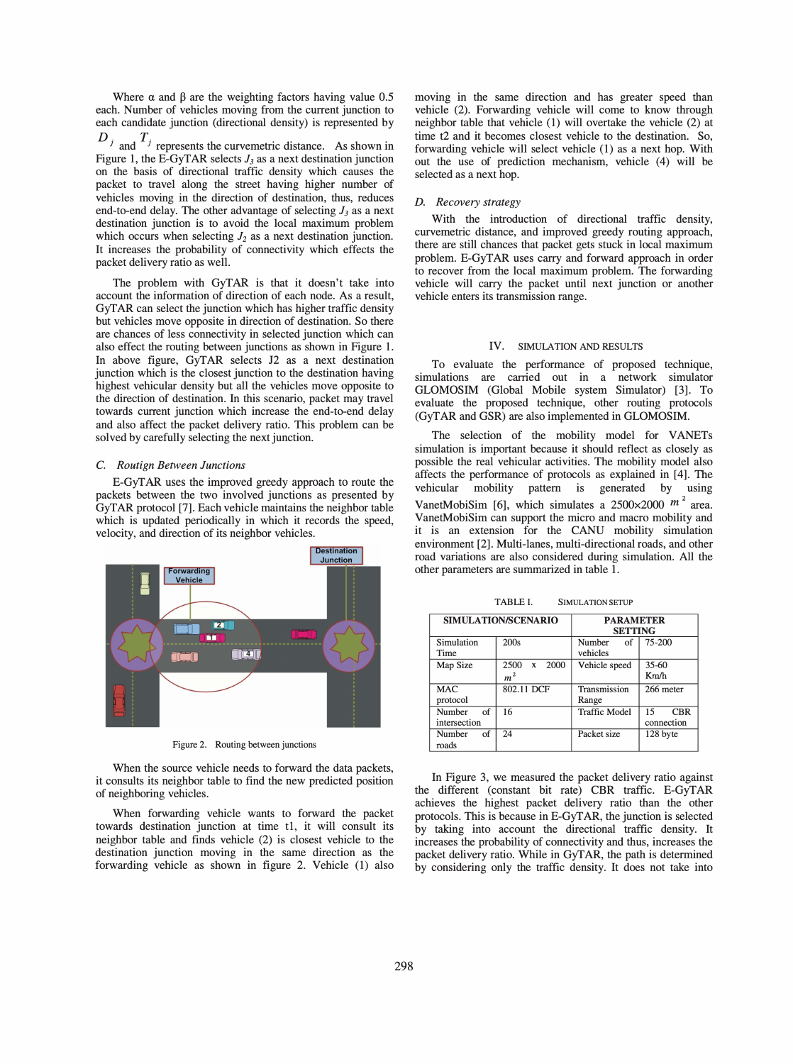Where  $\alpha$  and  $\beta$  are the weighting factors having value 0.5 each. Number of vehicles moving from the current junction to each candidate junction (directional density) is represented by

 $D_j$  and  $T_j$  represents the curvemetric distance. As shown in Figure 1, the E-GyTAR selects  $J_3$  as a next destination junction on the basis of directional traffic density which causes the packet to travel along the street having higher number of vehicles moving in the direction of destination, thus, reduces end-to-end delay. The other advantage of selecting  $J_3$  as a next destination junction is to avoid the local maximum problem which occurs when selecting  $J_2$  as a next destination junction. It increases the probability of connectivity which effects the packet delivery ratio as well.

The problem with GyTAR is that it doesn't take into account the information of direction of each node. As a result, GyT AR can select the junction which has higher traffic density but vehicles move opposite in direction of destination. So there are chances of less connectivity in selected junction which can also effect the routing between junctions as shown in Figure 1. In above figure, GyTAR selects J2 as a next destination junction which is the closest junction to the destination having highest vehicular density but all the vehicles move opposite to the direction of destination. In this scenario, packet may travel towards current junction which increase the end-to-end delay and also affect the packet delivery ratio. This problem can be solved by carefully selecting the next junction.

# C. Routign Between Junctions

E-GyT AR uses the improved greedy approach to route the packets between the two involved junctions as presented by GyT AR protocol [7]. Each vehicle maintains the neighbor table which is updated periodically in which it records the speed, velocity, and direction of its neighbor vehicles.



Figure 2. Routing between junctions

When the source vehicle needs to forward the data packets, it consults its neighbor table to find the new predicted position of neighboring vehicles.

When forwarding vehicle wants to forward the packet towards destination junction at time tl, it will consult its neighbor table and finds vehicle (2) is closest vehicle to the destination junction moving in the same direction as the forwarding vehicle as shown in figure 2. Vehicle (1) also moving in the same direction and has greater speed than vehicle (2). Forwarding vehicle will come to know through neighbor table that vehicle (1) will overtake the vehicle (2) at time t2 and it becomes closest vehicle to the destination. So, forwarding vehicle will select vehicle (1) as a next hop. With out the use of prediction mechanism, vehicle (4) will be selected as a next hop.

#### D. Recovery strategy

With the introduction of directional traffic density, curvemetric distance, and improved greedy routing approach, there are still chances that packet gets stuck in local maximum problem. E-GyTAR uses carry and forward approach in order to recover from the local maximum problem. The forwarding vehicle will carry the packet until next junction or another vehicle enters its transmission range.

# IV. SIMULATION AND RESULTS

To evaluate the performance of proposed technique, simulations are carried out in a network simulator GLOMOSIM (Global Mobile system Simulator) [3]. To evaluate the proposed technique, other routing protocols (GyT AR and GSR) are also implemented in GLOMOSIM.

The selection of the mobility model for VANETs simulation is important because it should reflect as closely as possible the real vehicular activities. The mobility model also affects the performance of protocols as explained in [4]. The vehicular mobility pattern is generated by using VanetMobiSim [6], which simulates a  $2500 \times 2000$   $m<sup>2</sup>$  area. VanetMobiSim can support the micro and macro mobility and it is an extension for the CANU mobility simulation environment [2]. Multi-lanes, multi-directional roads, and other road variations are also considered during simulation. All the other parameters are summarized in table 1.

| SIMULATION/SCENARIO  |                              | <b>PARAMETER</b><br><b>SETTING</b> |            |
|----------------------|------------------------------|------------------------------------|------------|
| Simulation           | 200s                         | of<br>Number                       | 75-200     |
| Time                 |                              | vehicles                           |            |
| Map Size             | 2500<br>2000<br>$\mathbf{x}$ | Vehicle speed                      | $35-60$    |
|                      | m <sup>2</sup>               |                                    | Km/h       |
| <b>MAC</b>           | 802.11 DCF                   | Transmission                       | 266 meter  |
| protocol             |                              | Range                              |            |
| $\alpha$ f<br>Number | 16                           | <b>Traffic Model</b>               | 15<br>CRR  |
| intersection         |                              |                                    | connection |
| of<br>Number         | 24                           | Packet size                        | 128 byte   |
| roads                |                              |                                    |            |

TABLE I SIMULATION SETUP

In Figure 3, we measured the packet delivery ratio against the different (constant bit rate) CBR traffic. E-GyTAR achieves the highest packet delivery ratio than the other protocols. This is because in E-GyT AR, the junction is selected by taking into account the directional traffic density. It increases the probability of connectivity and thus, increases the packet delivery ratio. While in GyTAR, the path is determined by considering only the traffic density. It does not take into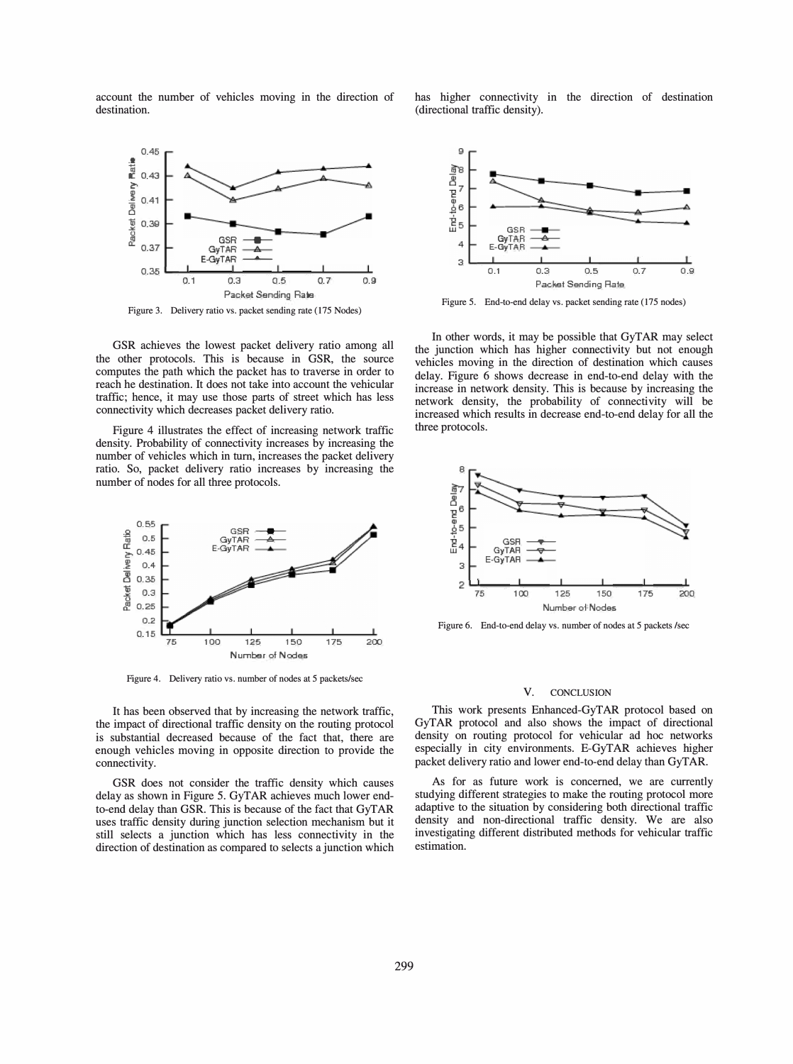account the number of vehicles moving in the direction of destination.



Figure 3. Delivery ratio vs. packet sending rate (175 Nodes)

GSR achieves the lowest packet delivery ratio among all the other protocols. This is because in GSR, the source computes the path which the packet has to traverse in order to reach he destination. It does not take into account the vehicular traffic; hence, it may use those parts of street which has less connectivity which decreases packet delivery ratio.

Figure 4 illustrates the effect of increasing network traffic density. Probability of connectivity increases by increasing the number of vehicles which in turn, increases the packet delivery ratio. So, packet delivery ratio increases by increasing the number of nodes for all three protocols.



Figure 4. Delivery ratio vs. number of nodes at 5 packets/sec

It has been observed that by increasing the network traffic, the impact of directional traffic density on the routing protocol is substantial decreased because of the fact that, there are enough vehicles moving in opposite direction to provide the connectivity.

GSR does not consider the traffic density which causes delay as shown in Figure 5. GyTAR achieves much lower endto-end delay than GSR. This is because of the fact that GyTAR uses traffic density during junction selection mechanism but it still selects a junction which has less connectivity in the direction of destination as compared to selects a junction which

has higher connectivity in the direction of destination (directional traffic density).



Figure 5. End-to-end delay vs. packet sending rate (175 nodes)

In other words, it may be possible that GyTAR may select the junction which has higher connectivity but not enough vehicles moving in the direction of destination which causes delay. Figure 6 shows decrease in end-to-end delay with the increase in network density. This is because by increasing the network density, the probability of connectivity will be increased which results in decrease end-to-end delay for all the three protocols.



Figure 6. End-to-end delay vs. number of nodes at 5 packets /sec

## V. CONCLUSION

This work presents Enhanced-GyTAR protocol based on GyT AR protocol and also shows the impact of directional density on routing protocol for vehicular ad hoc networks especially in city environments. E-GyTAR achieves higher packet delivery ratio and lower end-to-end delay than GyTAR.

As for as future work is concerned, we are currently studying different strategies to make the routing protocol more adaptive to the situation by considering both directional traffic density and non-directional traffic density. We are also investigating different distributed methods for vehicular traffic estimation.